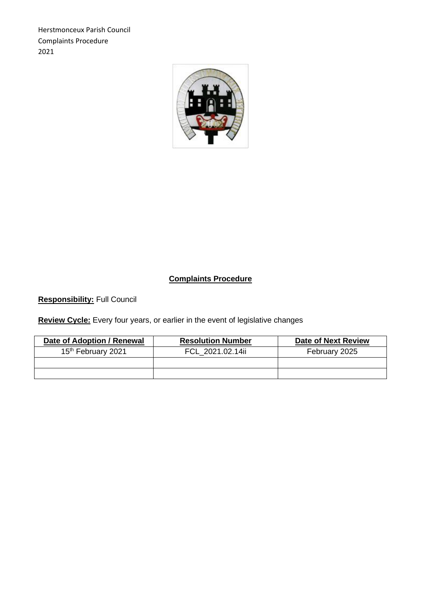Herstmonceux Parish Council Complaints Procedure 2021



# **Complaints Procedure**

**Responsibility:** Full Council

**Review Cycle:** Every four years, or earlier in the event of legislative changes

| Date of Adoption / Renewal     | <b>Resolution Number</b> | <b>Date of Next Review</b> |
|--------------------------------|--------------------------|----------------------------|
| 15 <sup>th</sup> February 2021 | FCL 2021.02.14ii         | February 2025              |
|                                |                          |                            |
|                                |                          |                            |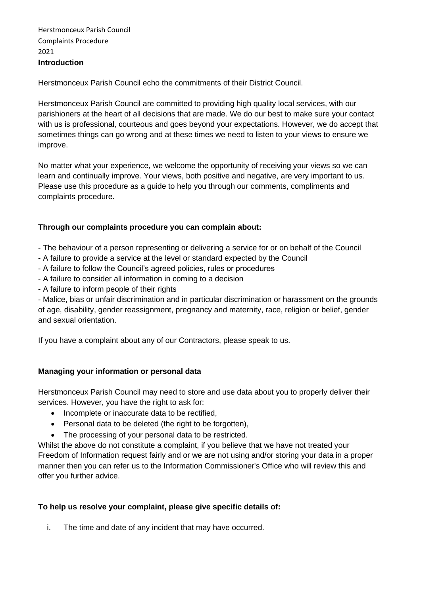Herstmonceux Parish Council Complaints Procedure 2021 **Introduction**

Herstmonceux Parish Council echo the commitments of their District Council.

Herstmonceux Parish Council are committed to providing high quality local services, with our parishioners at the heart of all decisions that are made. We do our best to make sure your contact with us is professional, courteous and goes beyond your expectations. However, we do accept that sometimes things can go wrong and at these times we need to listen to your views to ensure we improve.

No matter what your experience, we welcome the opportunity of receiving your views so we can learn and continually improve. Your views, both positive and negative, are very important to us. Please use this procedure as a guide to help you through our comments, compliments and complaints procedure.

#### **Through our complaints procedure you can complain about:**

- The behaviour of a person representing or delivering a service for or on behalf of the Council
- A failure to provide a service at the level or standard expected by the Council
- A failure to follow the Council's agreed policies, rules or procedures
- A failure to consider all information in coming to a decision
- A failure to inform people of their rights

- Malice, bias or unfair discrimination and in particular discrimination or harassment on the grounds of age, disability, gender reassignment, pregnancy and maternity, race, religion or belief, gender and sexual orientation.

If you have a complaint about any of our Contractors, please speak to us.

### **Managing your information or personal data**

Herstmonceux Parish Council may need to store and use data about you to properly deliver their services. However, you have the right to ask for:

- Incomplete or inaccurate data to be rectified,
- Personal data to be deleted (the right to be forgotten),
- The processing of your personal data to be restricted.

Whilst the above do not constitute a complaint, if you believe that we have not treated your Freedom of Information request fairly and or we are not using and/or storing your data in a proper manner then you can refer us to the Information Commissioner's Office who will review this and offer you further advice.

### **To help us resolve your complaint, please give specific details of:**

i. The time and date of any incident that may have occurred.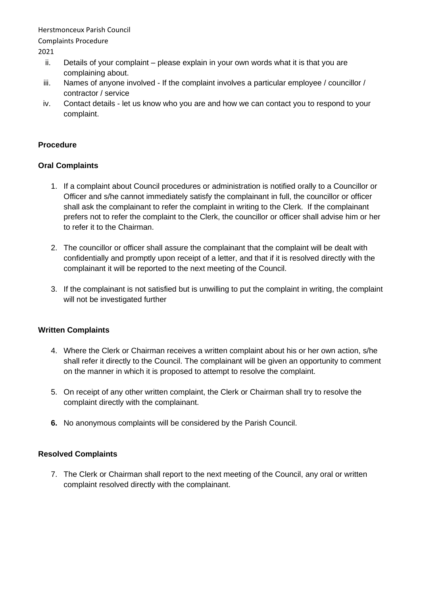Herstmonceux Parish Council

Complaints Procedure

2021

- ii. Details of your complaint please explain in your own words what it is that you are complaining about.
- iii. Names of anyone involved If the complaint involves a particular employee / councillor / contractor / service
- iv. Contact details let us know who you are and how we can contact you to respond to your complaint.

## **Procedure**

### **Oral Complaints**

- 1. If a complaint about Council procedures or administration is notified orally to a Councillor or Officer and s/he cannot immediately satisfy the complainant in full, the councillor or officer shall ask the complainant to refer the complaint in writing to the Clerk. If the complainant prefers not to refer the complaint to the Clerk, the councillor or officer shall advise him or her to refer it to the Chairman.
- 2. The councillor or officer shall assure the complainant that the complaint will be dealt with confidentially and promptly upon receipt of a letter, and that if it is resolved directly with the complainant it will be reported to the next meeting of the Council.
- 3. If the complainant is not satisfied but is unwilling to put the complaint in writing, the complaint will not be investigated further

### **Written Complaints**

- 4. Where the Clerk or Chairman receives a written complaint about his or her own action, s/he shall refer it directly to the Council. The complainant will be given an opportunity to comment on the manner in which it is proposed to attempt to resolve the complaint.
- 5. On receipt of any other written complaint, the Clerk or Chairman shall try to resolve the complaint directly with the complainant.
- **6.** No anonymous complaints will be considered by the Parish Council.

### **Resolved Complaints**

7. The Clerk or Chairman shall report to the next meeting of the Council, any oral or written complaint resolved directly with the complainant.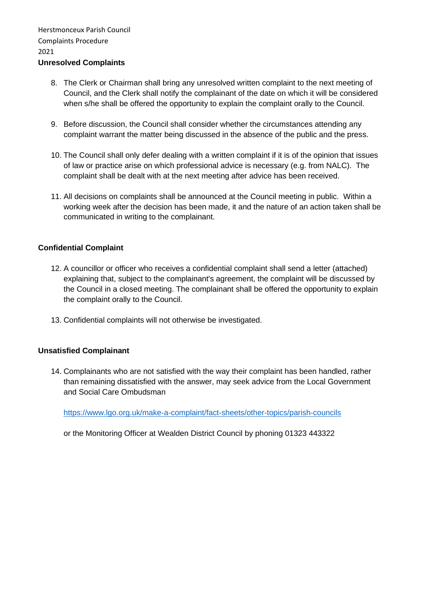### 8. The Clerk or Chairman shall bring any unresolved written complaint to the next meeting of Council, and the Clerk shall notify the complainant of the date on which it will be considered when s/he shall be offered the opportunity to explain the complaint orally to the Council.

- 9. Before discussion, the Council shall consider whether the circumstances attending any complaint warrant the matter being discussed in the absence of the public and the press.
- 10. The Council shall only defer dealing with a written complaint if it is of the opinion that issues of law or practice arise on which professional advice is necessary (e.g. from NALC). The complaint shall be dealt with at the next meeting after advice has been received.
- 11. All decisions on complaints shall be announced at the Council meeting in public. Within a working week after the decision has been made, it and the nature of an action taken shall be communicated in writing to the complainant.

## **Confidential Complaint**

- 12. A councillor or officer who receives a confidential complaint shall send a letter (attached) explaining that, subject to the complainant's agreement, the complaint will be discussed by the Council in a closed meeting. The complainant shall be offered the opportunity to explain the complaint orally to the Council.
- 13. Confidential complaints will not otherwise be investigated.

### **Unsatisfied Complainant**

14. Complainants who are not satisfied with the way their complaint has been handled, rather than remaining dissatisfied with the answer, may seek advice from the Local Government and Social Care Ombudsman

<https://www.lgo.org.uk/make-a-complaint/fact-sheets/other-topics/parish-councils>

or the Monitoring Officer at Wealden District Council by phoning 01323 443322